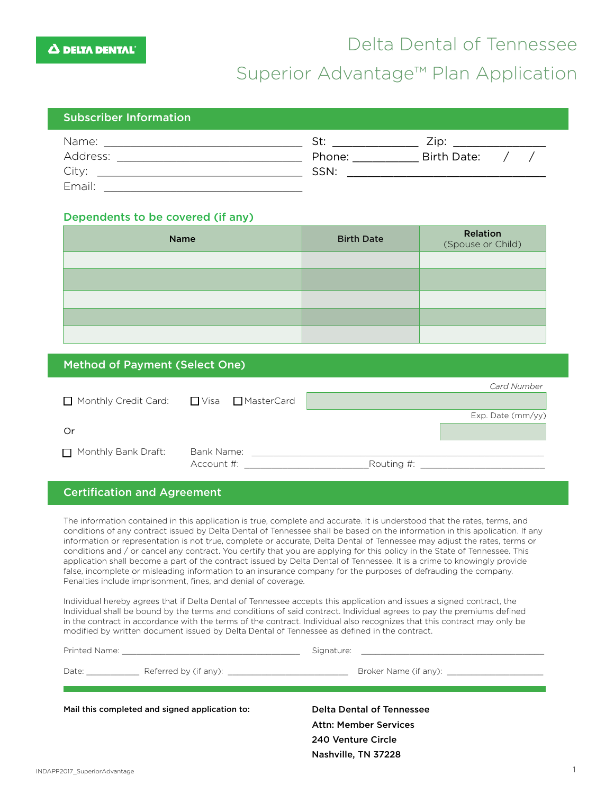## Delta Dental of Tennessee

### Superior Advantage™ Plan Application

#### Subscriber Information St: \_\_\_\_\_\_\_\_\_\_\_\_\_ Zip: \_\_\_\_\_\_\_\_\_\_\_\_\_\_ Name: \_\_\_\_\_\_\_\_\_\_\_\_\_\_\_\_\_\_\_\_\_\_\_\_\_\_\_\_\_\_ Phone: \_\_\_\_\_\_\_\_\_\_ Birth Date: / / Address: \_\_\_\_\_\_\_\_\_\_\_\_\_\_\_\_\_\_\_\_\_\_\_\_\_\_\_\_ SSN: \_\_\_\_\_\_\_\_\_\_\_\_\_\_\_\_\_\_\_\_\_\_\_\_\_\_\_\_\_\_ City: \_\_\_\_\_\_\_\_\_\_\_\_\_\_\_\_\_\_\_\_\_\_\_\_\_\_\_\_\_\_\_ Email:  $\blacksquare$

#### Dependents to be covered (if any):

| Name | <b>Birth Date</b> | Relation<br>(Spouse or Child) |
|------|-------------------|-------------------------------|
|      |                   |                               |
|      |                   |                               |
|      |                   |                               |
|      |                   |                               |
|      |                   |                               |

#### Method of Payment (Select One)

|                      |                     | <b>Card Number</b> |
|----------------------|---------------------|--------------------|
| Monthly Credit Card: | □ Visa □ MasterCard |                    |
|                      |                     | Exp. Date (mm/yy)  |
| Or                   |                     |                    |
| Monthly Bank Draft:  | Bank Name:          |                    |
|                      | Account #:          | Routing #:         |

#### Certification and Agreement

The information contained in this application is true, complete and accurate. It is understood that the rates, terms, and conditions of any contract issued by Delta Dental of Tennessee shall be based on the information in this application. If any information or representation is not true, complete or accurate, Delta Dental of Tennessee may adjust the rates, terms or conditions and / or cancel any contract. You certify that you are applying for this policy in the State of Tennessee. This application shall become a part of the contract issued by Delta Dental of Tennessee. It is a crime to knowingly provide false, incomplete or misleading information to an insurance company for the purposes of defrauding the company. Penalties include imprisonment, fines, and denial of coverage.

Individual hereby agrees that if Delta Dental of Tennessee accepts this application and issues a signed contract, the Individual shall be bound by the terms and conditions of said contract. Individual agrees to pay the premiums defined in the contract in accordance with the terms of the contract. Individual also recognizes that this contract may only be modified by written document issued by Delta Dental of Tennessee as defined in the contract.

| Date: __________                               |                                                           |
|------------------------------------------------|-----------------------------------------------------------|
| Mail this completed and signed application to: | Delta Dental of Tennessee<br><b>Attn: Member Services</b> |
|                                                | 240 Venture Circle                                        |

Nashville, TN 37228